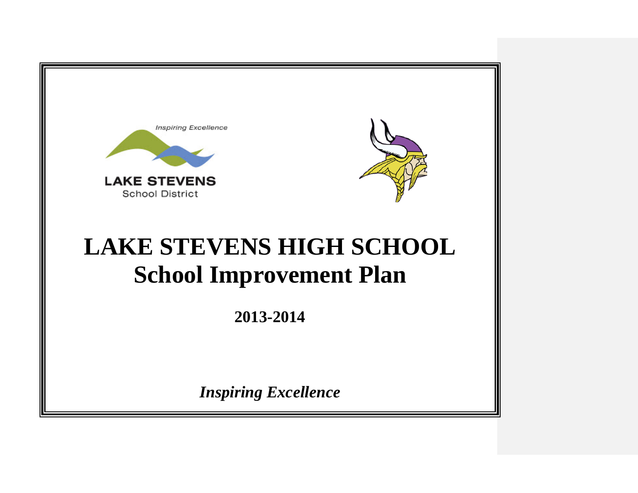

**2013-2014**

*Inspiring Excellence*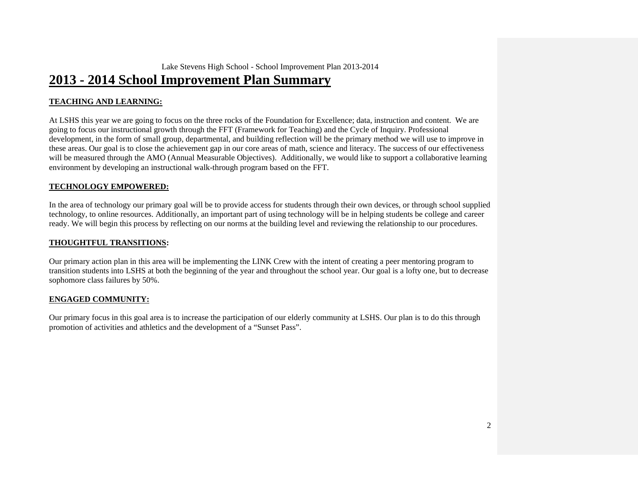### **2013 - 2014 School Improvement Plan Summary**

#### **TEACHING AND LEARNING:**

At LSHS this year we are going to focus on the three rocks of the Foundation for Excellence; data, instruction and content. We are going to focus our instructional growth through the FFT (Framework for Teaching) and the Cycle of Inquiry. Professional development, in the form of small group, departmental, and building reflection will be the primary method we will use to improve in these areas. Our goal is to close the achievement gap in our core areas of math, science and literacy. The success of our effectiveness will be measured through the AMO (Annual Measurable Objectives). Additionally, we would like to support a collaborative learning environment by developing an instructional walk-through program based on the FFT.

#### **TECHNOLOGY EMPOWERED:**

In the area of technology our primary goal will be to provide access for students through their own devices, or through school supplied technology, to online resources. Additionally, an important part of using technology will be in helping students be college and career ready. We will begin this process by reflecting on our norms at the building level and reviewing the relationship to our procedures.

#### **THOUGHTFUL TRANSITIONS:**

Our primary action plan in this area will be implementing the LINK Crew with the intent of creating a peer mentoring program to transition students into LSHS at both the beginning of the year and throughout the school year. Our goal is a lofty one, but to decrease sophomore class failures by 50%.

#### **ENGAGED COMMUNITY:**

Our primary focus in this goal area is to increase the participation of our elderly community at LSHS. Our plan is to do this through promotion of activities and athletics and the development of a "Sunset Pass".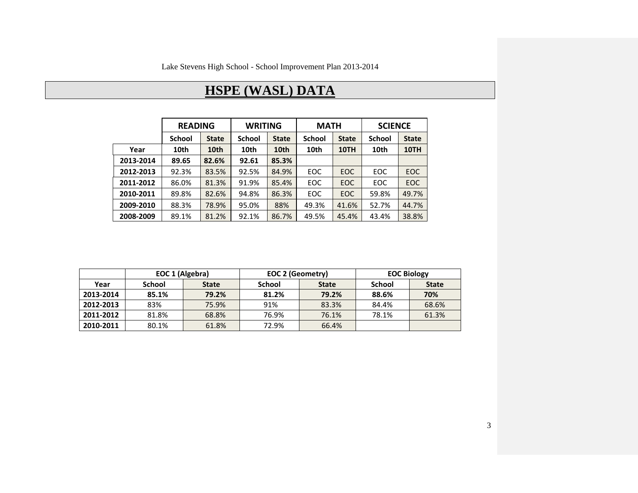# **HSPE (WASL) DATA**

|           | <b>READING</b> |              | <b>WRITING</b> |              | <b>MATH</b>   |              | <b>SCIENCE</b> |              |
|-----------|----------------|--------------|----------------|--------------|---------------|--------------|----------------|--------------|
|           | <b>School</b>  | <b>State</b> | <b>School</b>  | <b>State</b> | <b>School</b> | <b>State</b> | <b>School</b>  | <b>State</b> |
| Year      | 10th           | 10th         | 10th           | 10th         | 10th          | 10TH         | 10th           | 10TH         |
| 2013-2014 | 89.65          | 82.6%        | 92.61          | 85.3%        |               |              |                |              |
| 2012-2013 | 92.3%          | 83.5%        | 92.5%          | 84.9%        | EOC           | EOC.         | <b>EOC</b>     | <b>EOC</b>   |
| 2011-2012 | 86.0%          | 81.3%        | 91.9%          | 85.4%        | EOC           | EOC.         | EOC            | EOC          |
| 2010-2011 | 89.8%          | 82.6%        | 94.8%          | 86.3%        | EOC           | EOC          | 59.8%          | 49.7%        |
| 2009-2010 | 88.3%          | 78.9%        | 95.0%          | 88%          | 49.3%         | 41.6%        | 52.7%          | 44.7%        |
| 2008-2009 | 89.1%          | 81.2%        | 92.1%          | 86.7%        | 49.5%         | 45.4%        | 43.4%          | 38.8%        |

|           | EOC 1 (Algebra) |              | EOC 2 (Geometry) |              | <b>EOC Biology</b> |              |  |
|-----------|-----------------|--------------|------------------|--------------|--------------------|--------------|--|
| Year      | School          | <b>State</b> | School           | <b>State</b> | School             | <b>State</b> |  |
| 2013-2014 | 85.1%           | 79.2%        | 81.2%            | 79.2%        | 88.6%              | 70%          |  |
| 2012-2013 | 83%             | 75.9%        | 91%              | 83.3%        | 84.4%              | 68.6%        |  |
| 2011-2012 | 81.8%           | 68.8%        | 76.9%            | 76.1%        | 78.1%              | 61.3%        |  |
| 2010-2011 | 80.1%           | 61.8%        | 72.9%            | 66.4%        |                    |              |  |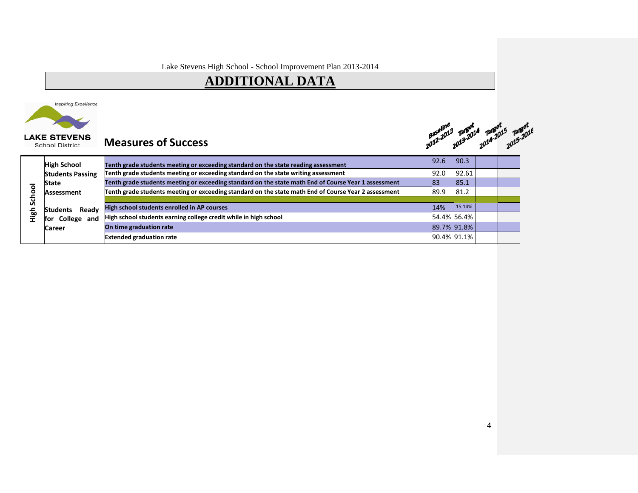# **ADDITIONAL DATA**



### **Measures of Success**

gaseline 13rget 13rget 13rget<br>2012-2013 2013-2014 2014-2015 13rget

| <b>High School</b>       |                                                                                                                                                                                                                                                                                                                                                                                                                                                                                                                                                                           |                            |                                                                                       |  |
|--------------------------|---------------------------------------------------------------------------------------------------------------------------------------------------------------------------------------------------------------------------------------------------------------------------------------------------------------------------------------------------------------------------------------------------------------------------------------------------------------------------------------------------------------------------------------------------------------------------|----------------------------|---------------------------------------------------------------------------------------|--|
| <b>Students Passing</b>  |                                                                                                                                                                                                                                                                                                                                                                                                                                                                                                                                                                           |                            |                                                                                       |  |
| <b>State</b>             |                                                                                                                                                                                                                                                                                                                                                                                                                                                                                                                                                                           |                            |                                                                                       |  |
| Assessment               |                                                                                                                                                                                                                                                                                                                                                                                                                                                                                                                                                                           |                            |                                                                                       |  |
|                          |                                                                                                                                                                                                                                                                                                                                                                                                                                                                                                                                                                           |                            |                                                                                       |  |
| Readv<br><b>Students</b> | 14%                                                                                                                                                                                                                                                                                                                                                                                                                                                                                                                                                                       |                            |                                                                                       |  |
| College and<br>for       |                                                                                                                                                                                                                                                                                                                                                                                                                                                                                                                                                                           |                            |                                                                                       |  |
| <b>Career</b>            |                                                                                                                                                                                                                                                                                                                                                                                                                                                                                                                                                                           |                            |                                                                                       |  |
|                          |                                                                                                                                                                                                                                                                                                                                                                                                                                                                                                                                                                           |                            |                                                                                       |  |
|                          | Tenth grade students meeting or exceeding standard on the state reading assessment<br>Tenth grade students meeting or exceeding standard on the state writing assessment<br>Tenth grade students meeting or exceeding standard on the state math End of Course Year 1 assessment<br>Tenth grade students meeting or exceeding standard on the state math End of Course Year 2 assessment<br>High school students enrolled in AP courses<br>High school students earning college credit while in high school<br>On time graduation rate<br><b>Extended graduation rate</b> | 92.6<br>92.0<br>83<br>89.9 | 190.3<br>92.61<br>85.1<br>81.2<br>15.14%<br>54.4% 56.4%<br>89.7% 91.8%<br>90.4% 91.1% |  |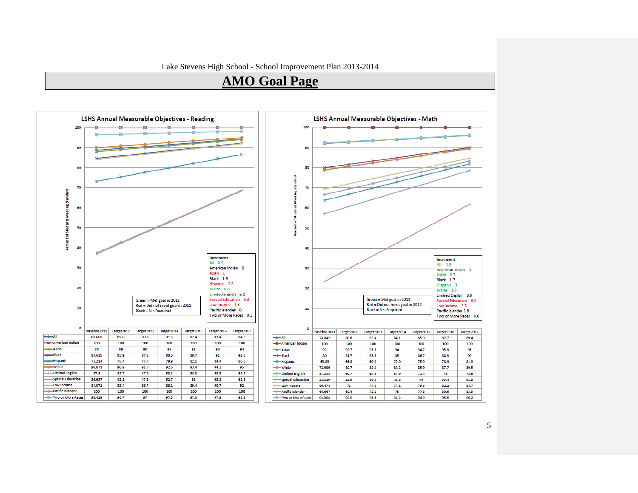### **AMO Goal Page**



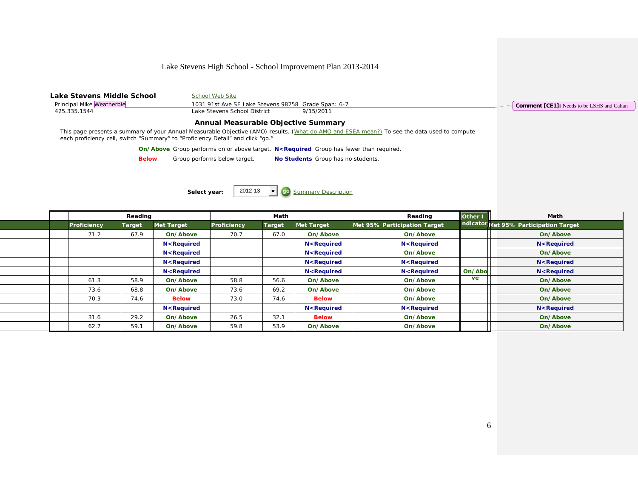| Lake Stevens Middle School<br>Principal Mike Weatherbie<br>425.335.1544         | School Web Site<br>1031 91st Ave SE Lake Stevens 98258 Grade Span: 6-7<br>Lake Stevens School District<br>9/15/2011                          | <b>Comment [CE1]:</b> Needs to be LSHS and Cahan |
|---------------------------------------------------------------------------------|----------------------------------------------------------------------------------------------------------------------------------------------|--------------------------------------------------|
|                                                                                 | Annual Measurable Objective Summary                                                                                                          |                                                  |
| each proficiency cell, switch "Summary" to "Proficiency Detail" and click "go." | This page presents a summary of your Annual Measurable Objective (AMO) results. (What do AMO and ESEA mean?) To see the data used to compute |                                                  |
|                                                                                 | <b>On/Above</b> Group performs on or above target. N <required fewer="" group="" has="" required.<="" td="" than=""><td></td></required>     |                                                  |
| <b>Below</b>                                                                    | Group performs below target.<br>No Students Group has no students.                                                                           |                                                  |
|                                                                                 |                                                                                                                                              |                                                  |
|                                                                                 | 2012-13<br><b>Summary Description</b><br>Select year:                                                                                        |                                                  |

|                    | Reading       |                                                                                                                                                                                                      |                    | Math          |                                                                                                                                            | Reading                                                                                       | Other I | Math                                   |
|--------------------|---------------|------------------------------------------------------------------------------------------------------------------------------------------------------------------------------------------------------|--------------------|---------------|--------------------------------------------------------------------------------------------------------------------------------------------|-----------------------------------------------------------------------------------------------|---------|----------------------------------------|
| <b>Proficiency</b> | <b>Target</b> | <b>Met Target</b>                                                                                                                                                                                    | <b>Proficiency</b> | <b>Target</b> | Met Target                                                                                                                                 | Met 95% Participation Target                                                                  |         | ndicator Met 95% Participation Target  |
| 71.2               | 67.9          | On/Above                                                                                                                                                                                             | 70.7               | 67.0          | On/Above                                                                                                                                   | On/Above                                                                                      |         | On/Above                               |
|                    |               | <b>N</b> <required< td=""><td></td><td></td><td>N<required< td=""><td><b>N</b><required< td=""><td></td><td>N<required< td=""></required<></td></required<></td></required<></td></required<>        |                    |               | N <required< td=""><td><b>N</b><required< td=""><td></td><td>N<required< td=""></required<></td></required<></td></required<>              | <b>N</b> <required< td=""><td></td><td>N<required< td=""></required<></td></required<>        |         | N <required< td=""></required<>        |
|                    |               | <b>N</b> <required< td=""><td></td><td></td><td>N<required< td=""><td>On/Above</td><td></td><td>On/Above</td></required<></td></required<>                                                           |                    |               | N <required< td=""><td>On/Above</td><td></td><td>On/Above</td></required<>                                                                 | On/Above                                                                                      |         | On/Above                               |
|                    |               | <b>N</b> <required< td=""><td></td><td></td><td><b>N</b><required< td=""><td><b>N</b><required< td=""><td></td><td>N<required< td=""></required<></td></required<></td></required<></td></required<> |                    |               | <b>N</b> <required< td=""><td><b>N</b><required< td=""><td></td><td>N<required< td=""></required<></td></required<></td></required<>       | <b>N</b> <required< td=""><td></td><td>N<required< td=""></required<></td></required<>        |         | N <required< td=""></required<>        |
|                    |               | N <required< td=""><td></td><td></td><td><b>N</b><required< td=""><td><b>N</b><required< td=""><td>On/Abo</td><td>N<required< td=""></required<></td></required<></td></required<></td></required<>  |                    |               | <b>N</b> <required< td=""><td><b>N</b><required< td=""><td>On/Abo</td><td>N<required< td=""></required<></td></required<></td></required<> | <b>N</b> <required< td=""><td>On/Abo</td><td>N<required< td=""></required<></td></required<>  | On/Abo  | N <required< td=""></required<>        |
| 61.3               | 58.9          | On/Above                                                                                                                                                                                             | 58.8               | 56.6          | On/Above                                                                                                                                   | On/Above                                                                                      | ve      | On/Above                               |
| 73.6               | 68.8          | On/Above                                                                                                                                                                                             | 73.6               | 69.2          | On/Above                                                                                                                                   | On/Above                                                                                      |         | On/Above                               |
| 70.3               | 74.6          | <b>Below</b>                                                                                                                                                                                         | 73.0               | 74.6          | <b>Below</b>                                                                                                                               | On/Above                                                                                      |         | On/Above                               |
|                    |               | N <required< th=""><th></th><th></th><th>N<required< th=""><th><b>N</b><required< th=""><th></th><th><b>N</b><required< th=""></required<></th></required<></th></required<></th></required<>        |                    |               | N <required< th=""><th><b>N</b><required< th=""><th></th><th><b>N</b><required< th=""></required<></th></required<></th></required<>       | <b>N</b> <required< th=""><th></th><th><b>N</b><required< th=""></required<></th></required<> |         | <b>N</b> <required< th=""></required<> |
| 31.6               | 29.2          | On/Above                                                                                                                                                                                             | 26.5               | 32.1          | <b>Below</b>                                                                                                                               | On/Above                                                                                      |         | On/Above                               |
| 62.7               | 59.1          | On/Above                                                                                                                                                                                             | 59.8               | 53.9          | On/Above                                                                                                                                   | On/Above                                                                                      |         | On/Above                               |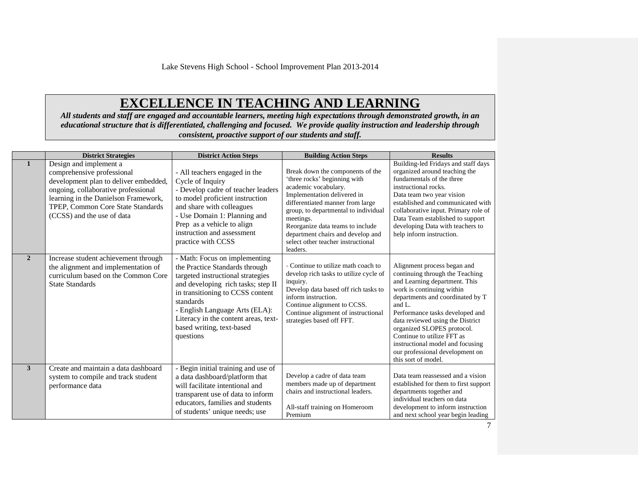# **EXCELLENCE IN TEACHING AND LEARNING**

*All students and staff are engaged and accountable learners, meeting high expectations through demonstrated growth, in an educational structure that is differentiated, challenging and focused. We provide quality instruction and leadership through consistent, proactive support of our students and staff.*

|                | <b>District Strategies</b>                                                                                                                                                                                                                      | <b>District Action Steps</b>                                                                                                                                                                                                                                                                                    | <b>Building Action Steps</b>                                                                                                                                                                                                                                                                                                                | <b>Results</b>                                                                                                                                                                                                                                                                                                                                                                                                 |
|----------------|-------------------------------------------------------------------------------------------------------------------------------------------------------------------------------------------------------------------------------------------------|-----------------------------------------------------------------------------------------------------------------------------------------------------------------------------------------------------------------------------------------------------------------------------------------------------------------|---------------------------------------------------------------------------------------------------------------------------------------------------------------------------------------------------------------------------------------------------------------------------------------------------------------------------------------------|----------------------------------------------------------------------------------------------------------------------------------------------------------------------------------------------------------------------------------------------------------------------------------------------------------------------------------------------------------------------------------------------------------------|
| $\mathbf{1}$   | Design and implement a<br>comprehensive professional<br>development plan to deliver embedded,<br>ongoing, collaborative professional<br>learning in the Danielson Framework,<br>TPEP. Common Core State Standards<br>(CCSS) and the use of data | - All teachers engaged in the<br>Cycle of Inquiry<br>- Develop cadre of teacher leaders<br>to model proficient instruction<br>and share with colleagues<br>- Use Domain 1: Planning and<br>Prep as a vehicle to align<br>instruction and assessment<br>practice with CCSS                                       | Break down the components of the<br>'three rocks' beginning with<br>academic vocabulary.<br>Implementation delivered in<br>differentiated manner from large<br>group, to departmental to individual<br>meetings.<br>Reorganize data teams to include<br>department chairs and develop and<br>select other teacher instructional<br>leaders. | Building-led Fridays and staff days<br>organized around teaching the<br>fundamentals of the three<br>instructional rocks.<br>Data team two year vision<br>established and communicated with<br>collaborative input. Primary role of<br>Data Team established to support<br>developing Data with teachers to<br>help inform instruction.                                                                        |
| $\overline{2}$ | Increase student achievement through<br>the alignment and implementation of<br>curriculum based on the Common Core<br><b>State Standards</b>                                                                                                    | - Math: Focus on implementing<br>the Practice Standards through<br>targeted instructional strategies<br>and developing rich tasks; step II<br>in transitioning to CCSS content<br>standards<br>- English Language Arts (ELA):<br>Literacy in the content areas, text-<br>based writing, text-based<br>questions | Continue to utilize math coach to<br>develop rich tasks to utilize cycle of<br>inquiry.<br>Develop data based off rich tasks to<br>inform instruction.<br>Continue alignment to CCSS.<br>Continue alignment of instructional<br>strategies based off FFT.                                                                                   | Alignment process began and<br>continuing through the Teaching<br>and Learning department. This<br>work is continuing within<br>departments and coordinated by T<br>and $L$ .<br>Performance tasks developed and<br>data reviewed using the District<br>organized SLOPES protocol.<br>Continue to utilize FFT as<br>instructional model and focusing<br>our professional development on<br>this sort of model. |
| 3              | Create and maintain a data dashboard<br>system to compile and track student<br>performance data                                                                                                                                                 | - Begin initial training and use of<br>a data dashboard/platform that<br>will facilitate intentional and<br>transparent use of data to inform<br>educators, families and students<br>of students' unique needs; use                                                                                             | Develop a cadre of data team<br>members made up of department<br>chairs and instructional leaders.<br>All-staff training on Homeroom<br>Premium                                                                                                                                                                                             | Data team reassessed and a vision<br>established for them to first support<br>departments together and<br>individual teachers on data<br>development to inform instruction<br>and next school year begin leading                                                                                                                                                                                               |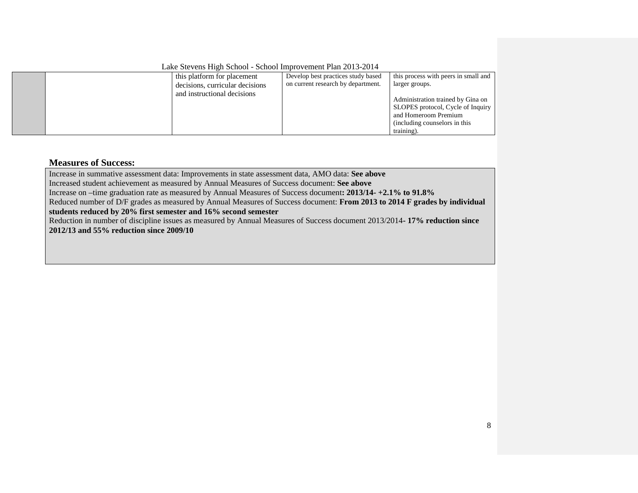Lake Stevens High School - School Improvement Plan 2013-2014

|  | this platform for placement     | Develop best practices study based | this process with peers in small and |
|--|---------------------------------|------------------------------------|--------------------------------------|
|  | decisions, curricular decisions | on current research by department. | larger groups.                       |
|  | and instructional decisions     |                                    |                                      |
|  |                                 |                                    | Administration trained by Gina on    |
|  |                                 |                                    | SLOPES protocol, Cycle of Inquiry    |
|  |                                 |                                    | and Homeroom Premium                 |
|  |                                 |                                    | (including counselors in this)       |
|  |                                 |                                    | training).                           |

#### **Measures of Success:**

Increase in summative assessment data: Improvements in state assessment data, AMO data: **See above**

Increased student achievement as measured by Annual Measures of Success document: **See above**

Increase on –time graduation rate as measured by Annual Measures of Success document**: 2013/14- +2.1% to 91.8%**

Reduced number of D/F grades as measured by Annual Measures of Success document: **From 2013 to 2014 F grades by individual students reduced by 20% first semester and 16% second semester**

Reduction in number of discipline issues as measured by Annual Measures of Success document 2013/2014**- 17% reduction since 2012/13 and 55% reduction since 2009/10**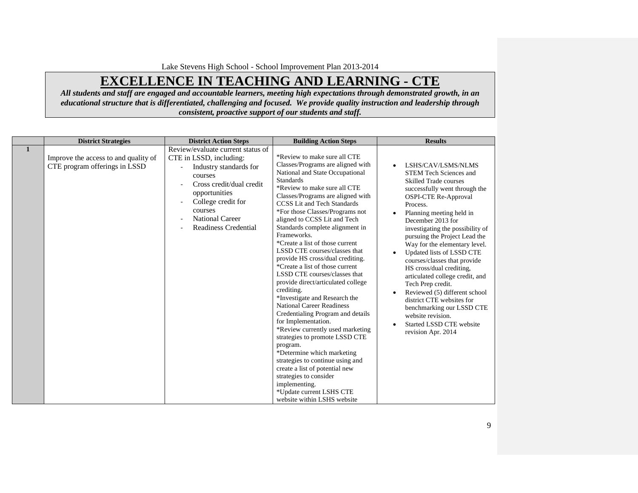# **EXCELLENCE IN TEACHING AND LEARNING - CTE**

*All students and staff are engaged and accountable learners, meeting high expectations through demonstrated growth, in an educational structure that is differentiated, challenging and focused. We provide quality instruction and leadership through consistent, proactive support of our students and staff.*

|   | <b>District Strategies</b>                                            | <b>District Action Steps</b>                                                                                                                                                                                                             | <b>Building Action Steps</b>                                                                                                                                                                                                                                                                                                                                                                                                                                                                                                                                                                                                                                                                                                                                                                                                                                                                                                                                                                                          | <b>Results</b>                                                                                                                                                                                                                                                                                                                                                                                                                                                                                                                                                                                                                                         |
|---|-----------------------------------------------------------------------|------------------------------------------------------------------------------------------------------------------------------------------------------------------------------------------------------------------------------------------|-----------------------------------------------------------------------------------------------------------------------------------------------------------------------------------------------------------------------------------------------------------------------------------------------------------------------------------------------------------------------------------------------------------------------------------------------------------------------------------------------------------------------------------------------------------------------------------------------------------------------------------------------------------------------------------------------------------------------------------------------------------------------------------------------------------------------------------------------------------------------------------------------------------------------------------------------------------------------------------------------------------------------|--------------------------------------------------------------------------------------------------------------------------------------------------------------------------------------------------------------------------------------------------------------------------------------------------------------------------------------------------------------------------------------------------------------------------------------------------------------------------------------------------------------------------------------------------------------------------------------------------------------------------------------------------------|
| 1 | Improve the access to and quality of<br>CTE program offerings in LSSD | Review/evaluate current status of<br>CTE in LSSD, including:<br>Industry standards for<br>courses<br>Cross credit/dual credit<br>opportunities<br>College credit for<br>courses<br><b>National Career</b><br><b>Readiness Credential</b> | *Review to make sure all CTE<br>Classes/Programs are aligned with<br>National and State Occupational<br><b>Standards</b><br>*Review to make sure all CTE<br>Classes/Programs are aligned with<br><b>CCSS</b> Lit and Tech Standards<br>*For those Classes/Programs not<br>aligned to CCSS Lit and Tech<br>Standards complete alignment in<br>Frameworks.<br>*Create a list of those current<br>LSSD CTE courses/classes that<br>provide HS cross/dual crediting.<br>*Create a list of those current<br>LSSD CTE courses/classes that<br>provide direct/articulated college<br>crediting.<br>*Investigate and Research the<br><b>National Career Readiness</b><br>Credentialing Program and details<br>for Implementation.<br>*Review currently used marketing<br>strategies to promote LSSD CTE<br>program.<br>*Determine which marketing<br>strategies to continue using and<br>create a list of potential new<br>strategies to consider<br>implementing.<br>*Update current LSHS CTE<br>website within LSHS website | LSHS/CAV/LSMS/NLMS<br>$\bullet$<br><b>STEM Tech Sciences and</b><br><b>Skilled Trade courses</b><br>successfully went through the<br><b>OSPI-CTE Re-Approval</b><br>Process.<br>Planning meeting held in<br>December 2013 for<br>investigating the possibility of<br>pursuing the Project Lead the<br>Way for the elementary level.<br>Updated lists of LSSD CTE<br>courses/classes that provide<br>HS cross/dual crediting,<br>articulated college credit, and<br>Tech Prep credit.<br>Reviewed (5) different school<br>district CTE websites for<br>benchmarking our LSSD CTE<br>website revision.<br>Started LSSD CTE website<br>revision Apr. 2014 |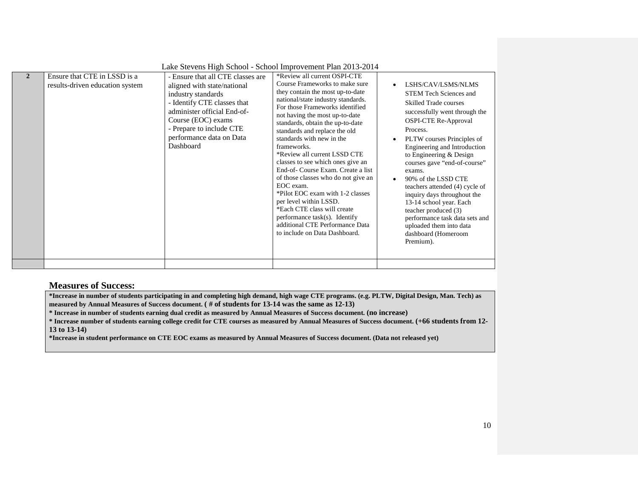|                |                                                                 | Lake Stevens High School - School Improvement Plan 2013-2014                                                                                                                                                                                    |                                                                                                                                                                                                                                                                                                                                                                                                                                                                                                                                                                                                                                                                                                |                                     |                                                                                                                                                                                                                                                                                                                                                                                                                                                                                                                                         |
|----------------|-----------------------------------------------------------------|-------------------------------------------------------------------------------------------------------------------------------------------------------------------------------------------------------------------------------------------------|------------------------------------------------------------------------------------------------------------------------------------------------------------------------------------------------------------------------------------------------------------------------------------------------------------------------------------------------------------------------------------------------------------------------------------------------------------------------------------------------------------------------------------------------------------------------------------------------------------------------------------------------------------------------------------------------|-------------------------------------|-----------------------------------------------------------------------------------------------------------------------------------------------------------------------------------------------------------------------------------------------------------------------------------------------------------------------------------------------------------------------------------------------------------------------------------------------------------------------------------------------------------------------------------------|
| $\overline{2}$ | Ensure that CTE in LSSD is a<br>results-driven education system | - Ensure that all CTE classes are<br>aligned with state/national<br>industry standards<br>- Identify CTE classes that<br>administer official End-of-<br>Course (EOC) exams<br>- Prepare to include CTE<br>performance data on Data<br>Dashboard | *Review all current OSPI-CTE<br>Course Frameworks to make sure<br>they contain the most up-to-date<br>national/state industry standards.<br>For those Frameworks identified<br>not having the most up-to-date<br>standards, obtain the up-to-date<br>standards and replace the old<br>standards with new in the<br>frameworks.<br>*Review all current LSSD CTE<br>classes to see which ones give an<br>End-of-Course Exam. Create a list<br>of those classes who do not give an<br>EOC exam.<br>*Pilot EOC exam with 1-2 classes<br>per level within LSSD.<br>*Each CTE class will create<br>performance task(s). Identify<br>additional CTE Performance Data<br>to include on Data Dashboard. | $\bullet$<br>$\bullet$<br>$\bullet$ | LSHS/CAV/LSMS/NLMS<br><b>STEM Tech Sciences and</b><br><b>Skilled Trade courses</b><br>successfully went through the<br>OSPI-CTE Re-Approval<br>Process.<br>PLTW courses Principles of<br>Engineering and Introduction<br>to Engineering & Design<br>courses gave "end-of-course"<br>exams.<br>90% of the LSSD CTE<br>teachers attended (4) cycle of<br>inquiry days throughout the<br>13-14 school year. Each<br>teacher produced (3)<br>performance task data sets and<br>uploaded them into data<br>dashboard (Homeroom<br>Premium). |
|                |                                                                 |                                                                                                                                                                                                                                                 |                                                                                                                                                                                                                                                                                                                                                                                                                                                                                                                                                                                                                                                                                                |                                     |                                                                                                                                                                                                                                                                                                                                                                                                                                                                                                                                         |

#### **Measures of Success:**

**\*Increase in number of students participating in and completing high demand, high wage CTE programs. (e.g. PLTW, Digital Design, Man. Tech) as measured by Annual Measures of Success document. ( # of students for 13-14 was the same as 12-13)**

**\* Increase in number of students earning dual credit as measured by Annual Measures of Success document. (no increase)**

**\* Increase number of students earning college credit for CTE courses as measured by Annual Measures of Success document. (+66 students from 12- 13 to 13-14)**

**\*Increase in student performance on CTE EOC exams as measured by Annual Measures of Success document. (Data not released yet)**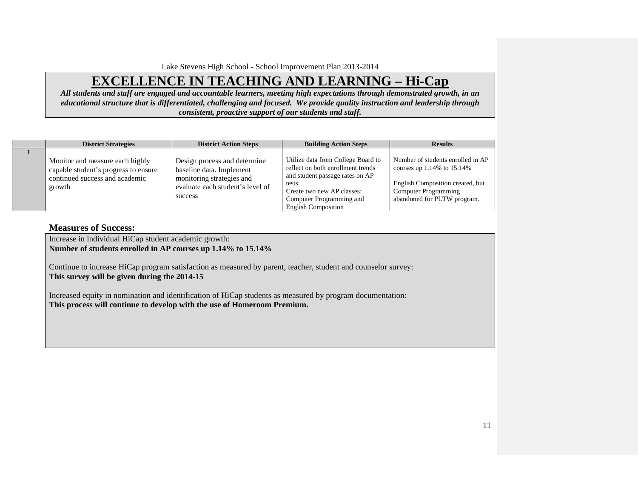### **EXCELLENCE IN TEACHING AND LEARNING – Hi-Cap**

*All students and staff are engaged and accountable learners, meeting high expectations through demonstrated growth, in an educational structure that is differentiated, challenging and focused. We provide quality instruction and leadership through consistent, proactive support of our students and staff.*

| <b>District Strategies</b>                                                                                          | <b>District Action Steps</b>                                                                                                         | <b>Building Action Steps</b>                                                                                                                                                                                 | <b>Results</b>                                                                                                                                                          |
|---------------------------------------------------------------------------------------------------------------------|--------------------------------------------------------------------------------------------------------------------------------------|--------------------------------------------------------------------------------------------------------------------------------------------------------------------------------------------------------------|-------------------------------------------------------------------------------------------------------------------------------------------------------------------------|
| Monitor and measure each highly<br>capable student's progress to ensure<br>continued success and academic<br>growth | Design process and determine<br>baseline data. Implement<br>monitoring strategies and<br>evaluate each student's level of<br>success | Utilize data from College Board to<br>reflect on both enrollment trends<br>and student passage rates on AP<br>tests.<br>Create two new AP classes:<br>Computer Programming and<br><b>English Composition</b> | Number of students enrolled in AP<br>courses up $1.14\%$ to $15.14\%$<br>English Composition created, but<br><b>Computer Programming</b><br>abandoned for PLTW program. |

#### **Measures of Success:**

Increase in individual HiCap student academic growth: **Number of students enrolled in AP courses up 1.14% to 15.14%**

Continue to increase HiCap program satisfaction as measured by parent, teacher, student and counselor survey: **This survey will be given during the 2014-15**

Increased equity in nomination and identification of HiCap students as measured by program documentation: **This process will continue to develop with the use of Homeroom Premium.**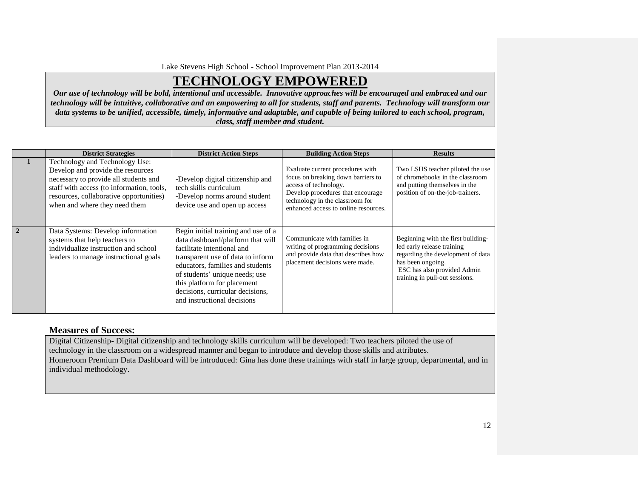### **TECHNOLOGY EMPOWERED**

*Our use of technology will be bold, intentional and accessible. Innovative approaches will be encouraged and embraced and our technology will be intuitive, collaborative and an empowering to all for students, staff and parents. Technology will transform our data systems to be unified, accessible, timely, informative and adaptable, and capable of being tailored to each school, program, class, staff member and student.*

|                | <b>District Strategies</b>                                                                                                                                                                                                            | <b>District Action Steps</b>                                                                                                                                                                                                                                                                                        | <b>Building Action Steps</b>                                                                                                                                                                                    | <b>Results</b>                                                                                                                                                                              |
|----------------|---------------------------------------------------------------------------------------------------------------------------------------------------------------------------------------------------------------------------------------|---------------------------------------------------------------------------------------------------------------------------------------------------------------------------------------------------------------------------------------------------------------------------------------------------------------------|-----------------------------------------------------------------------------------------------------------------------------------------------------------------------------------------------------------------|---------------------------------------------------------------------------------------------------------------------------------------------------------------------------------------------|
| 1              | Technology and Technology Use:<br>Develop and provide the resources<br>necessary to provide all students and<br>staff with access (to information, tools,<br>resources, collaborative opportunities)<br>when and where they need them | -Develop digital citizenship and<br>tech skills curriculum<br>-Develop norms around student<br>device use and open up access                                                                                                                                                                                        | Evaluate current procedures with<br>focus on breaking down barriers to<br>access of technology.<br>Develop procedures that encourage<br>technology in the classroom for<br>enhanced access to online resources. | Two LSHS teacher piloted the use<br>of chromebooks in the classroom<br>and putting themselves in the<br>position of on-the-job-trainers.                                                    |
| $\overline{2}$ | Data Systems: Develop information<br>systems that help teachers to<br>individualize instruction and school<br>leaders to manage instructional goals                                                                                   | Begin initial training and use of a<br>data dashboard/platform that will<br>facilitate intentional and<br>transparent use of data to inform<br>educators, families and students<br>of students' unique needs; use<br>this platform for placement<br>decisions, curricular decisions,<br>and instructional decisions | Communicate with families in<br>writing of programming decisions<br>and provide data that describes how<br>placement decisions were made.                                                                       | Beginning with the first building-<br>led early release training<br>regarding the development of data<br>has been ongoing.<br>ESC has also provided Admin<br>training in pull-out sessions. |

#### **Measures of Success:**

Digital Citizenship- Digital citizenship and technology skills curriculum will be developed: Two teachers piloted the use of technology in the classroom on a widespread manner and began to introduce and develop those skills and attributes. Homeroom Premium Data Dashboard will be introduced: Gina has done these trainings with staff in large group, departmental, and in individual methodology.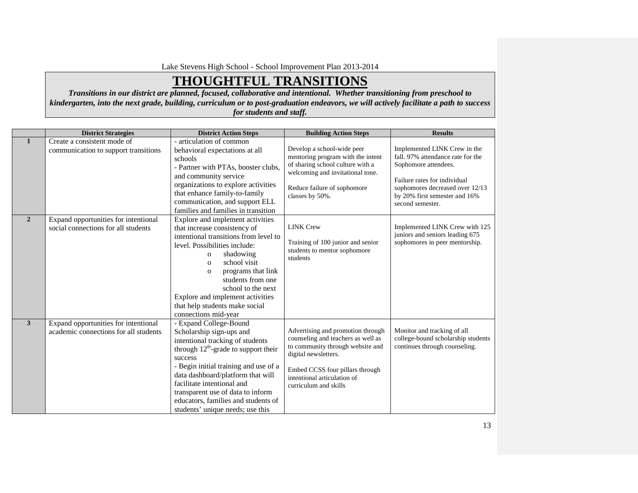# **THOUGHTFUL TRANSITIONS**

*Transitions in our district are planned, focused, collaborative and intentional. Whether transitioning from preschool to kindergarten, into the next grade, building, curriculum or to post-graduation endeavors, we will actively facilitate a path to success for students and staff.*

|                | <b>District Strategies</b>                                                    | <b>District Action Steps</b>                                                                                                                                                                                                                                                                                                                                                           | <b>Building Action Steps</b>                                                                                                                                                                                                   | <b>Results</b>                                                                                                                                                                                                    |
|----------------|-------------------------------------------------------------------------------|----------------------------------------------------------------------------------------------------------------------------------------------------------------------------------------------------------------------------------------------------------------------------------------------------------------------------------------------------------------------------------------|--------------------------------------------------------------------------------------------------------------------------------------------------------------------------------------------------------------------------------|-------------------------------------------------------------------------------------------------------------------------------------------------------------------------------------------------------------------|
| $\mathbf{1}$   | Create a consistent mode of<br>communication to support transitions           | - articulation of common<br>behavioral expectations at all<br>schools<br>- Partner with PTAs, booster clubs,<br>and community service<br>organizations to explore activities<br>that enhance family-to-family<br>communication, and support ELL<br>families and families in transition                                                                                                 | Develop a school-wide peer<br>mentoring program with the intent<br>of sharing school culture with a<br>welcoming and invitational tone.<br>Reduce failure of sophomore<br>classes by 50%.                                      | Implemented LINK Crew in the<br>fall. 97% attendance rate for the<br>Sophomore attendees.<br>Failure rates for individual<br>sophomores decreased over 12/13<br>by 20% first semester and 16%<br>second semester. |
| $\overline{2}$ | Expand opportunities for intentional<br>social connections for all students   | Explore and implement activities<br>that increase consistency of<br>intentional transitions from level to<br>level. Possibilities include:<br>shadowing<br>$\mathbf{O}$<br>school visit<br>$\mathbf{O}$<br>programs that link<br>$\mathbf{o}$<br>students from one<br>school to the next<br>Explore and implement activities<br>that help students make social<br>connections mid-year | <b>LINK Crew</b><br>Training of 100 junior and senior<br>students to mentor sophomore<br>students                                                                                                                              | Implemented LINK Crew with 125<br>juniors and seniors leading 675<br>sophomores in peer mentorship.                                                                                                               |
| $\mathbf{3}$   | Expand opportunities for intentional<br>academic connections for all students | - Expand College-Bound<br>Scholarship sign-ups and<br>intentional tracking of students<br>through $12^{th}$ -grade to support their<br>success<br>- Begin initial training and use of a<br>data dashboard/platform that will<br>facilitate intentional and<br>transparent use of data to inform<br>educators, families and students of<br>students' unique needs; use this             | Advertising and promotion through<br>counseling and teachers as well as<br>to community through website and<br>digital newsletters.<br>Embed CCSS four pillars through<br>intentional articulation of<br>curriculum and skills | Monitor and tracking of all<br>college-bound scholarship students<br>continues through counseling.                                                                                                                |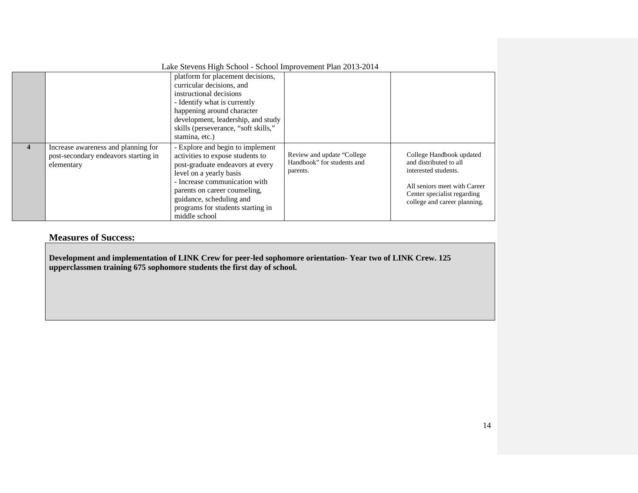| Lake Stevens High School - School Improvement Plan 2013-2014 |                                                                                           |                                                                                                                                                                                                                                                                                         |                                                                       |                                                                                                                                                                           |  |  |  |
|--------------------------------------------------------------|-------------------------------------------------------------------------------------------|-----------------------------------------------------------------------------------------------------------------------------------------------------------------------------------------------------------------------------------------------------------------------------------------|-----------------------------------------------------------------------|---------------------------------------------------------------------------------------------------------------------------------------------------------------------------|--|--|--|
|                                                              |                                                                                           | platform for placement decisions,<br>curricular decisions, and<br>instructional decisions<br>- Identify what is currently<br>happening around character<br>development, leadership, and study<br>skills (perseverance, "soft skills,"<br>stamina, etc.)                                 |                                                                       |                                                                                                                                                                           |  |  |  |
| 4                                                            | Increase awareness and planning for<br>post-secondary endeavors starting in<br>elementary | - Explore and begin to implement<br>activities to expose students to<br>post-graduate endeavors at every<br>level on a yearly basis<br>- Increase communication with<br>parents on career counseling,<br>guidance, scheduling and<br>programs for students starting in<br>middle school | Review and update "College"<br>Handbook" for students and<br>parents. | College Handbook updated<br>and distributed to all<br>interested students.<br>All seniors meet with Career<br>Center specialist regarding<br>college and career planning. |  |  |  |

### **Measures of Success:**

**Development and implementation of LINK Crew for peer-led sophomore orientation- Year two of LINK Crew. 125 upperclassmen training 675 sophomore students the first day of school.**